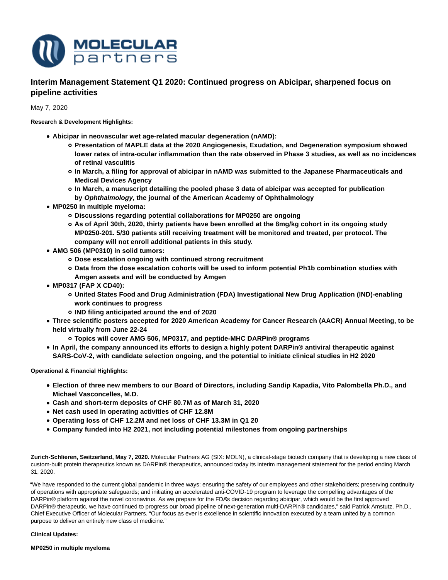

**Interim Management Statement Q1 2020: Continued progress on Abicipar, sharpened focus on pipeline activities**

May 7, 2020

**Research & Development Highlights:**

- **Abicipar in neovascular wet age-related macular degeneration (nAMD):**
	- **Presentation of MAPLE data at the 2020 Angiogenesis, Exudation, and Degeneration symposium showed lower rates of intra-ocular inflammation than the rate observed in Phase 3 studies, as well as no incidences of retinal vasculitis**
	- **In March, a filing for approval of abicipar in nAMD was submitted to the Japanese Pharmaceuticals and Medical Devices Agency**
	- **In March, a manuscript detailing the pooled phase 3 data of abicipar was accepted for publication by Ophthalmology, the journal of the American Academy of Ophthalmology**
- **MP0250 in multiple myeloma:**
	- **Discussions regarding potential collaborations for MP0250 are ongoing**
	- **As of April 30th, 2020, thirty patients have been enrolled at the 8mg/kg cohort in its ongoing study MP0250-201. 5/30 patients still receiving treatment will be monitored and treated, per protocol. The company will not enroll additional patients in this study.**
- **AMG 506 (MP0310) in solid tumors:**
	- **Dose escalation ongoing with continued strong recruitment**
	- **Data from the dose escalation cohorts will be used to inform potential Ph1b combination studies with Amgen assets and will be conducted by Amgen**
- **MP0317 (FAP X CD40):**
	- **United States Food and Drug Administration (FDA) Investigational New Drug Application (IND)-enabling work continues to progress**
	- **IND filing anticipated around the end of 2020**
- **Three scientific posters accepted for 2020 American Academy for Cancer Research (AACR) Annual Meeting, to be held virtually from June 22-24**
	- **Topics will cover AMG 506, MP0317, and peptide-MHC DARPin® programs**
- **In April, the company announced its efforts to design a highly potent DARPin® antiviral therapeutic against SARS-CoV-2, with candidate selection ongoing, and the potential to initiate clinical studies in H2 2020**

**Operational & Financial Highlights:**

- **Election of three new members to our Board of Directors, including Sandip Kapadia, Vito Palombella Ph.D., and Michael Vasconcelles, M.D.**
- **Cash and short-term deposits of CHF 80.7M as of March 31, 2020**
- **Net cash used in operating activities of CHF 12.8M**
- **Operating loss of CHF 12.2M and net loss of CHF 13.3M in Q1 20**
- **Company funded into H2 2021, not including potential milestones from ongoing partnerships**

**Zurich-Schlieren, Switzerland, May 7, 2020.** Molecular Partners AG (SIX: MOLN), a clinical-stage biotech company that is developing a new class of custom-built protein therapeutics known as DARPin® therapeutics, announced today its interim management statement for the period ending March 31, 2020.

"We have responded to the current global pandemic in three ways: ensuring the safety of our employees and other stakeholders; preserving continuity of operations with appropriate safeguards; and initiating an accelerated anti-COVID-19 program to leverage the compelling advantages of the DARPin® platform against the novel coronavirus. As we prepare for the FDA's decision regarding abicipar, which would be the first approved DARPin® therapeutic, we have continued to progress our broad pipeline of next-generation multi-DARPin® candidates," said Patrick Amstutz, Ph.D., Chief Executive Officer of Molecular Partners. "Our focus as ever is excellence in scientific innovation executed by a team united by a common purpose to deliver an entirely new class of medicine."

# **Clinical Updates:**

**MP0250 in multiple myeloma**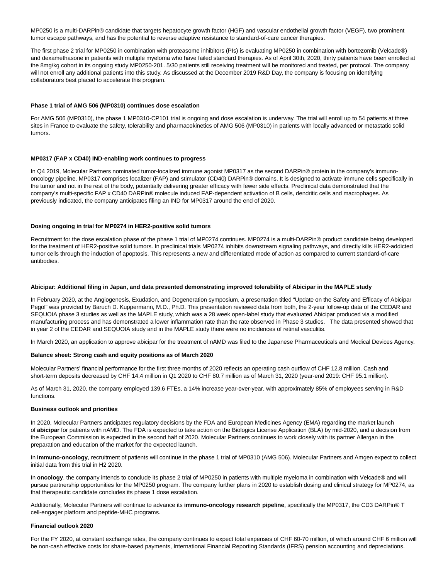MP0250 is a multi-DARPin® candidate that targets hepatocyte growth factor (HGF) and vascular endothelial growth factor (VEGF), two prominent tumor escape pathways, and has the potential to reverse adaptive resistance to standard-of-care cancer therapies.

The first phase 2 trial for MP0250 in combination with proteasome inhibitors (PIs) is evaluating MP0250 in combination with bortezomib (Velcade®) and dexamethasone in patients with multiple myeloma who have failed standard therapies. As of April 30th, 2020, thirty patients have been enrolled at the 8mg/kg cohort in its ongoing study MP0250-201. 5/30 patients still receiving treatment will be monitored and treated, per protocol. The company will not enroll any additional patients into this study. As discussed at the December 2019 R&D Day, the company is focusing on identifying collaborators best placed to accelerate this program.

### **Phase 1 trial of AMG 506 (MP0310) continues dose escalation**

For AMG 506 (MP0310), the phase 1 MP0310-CP101 trial is ongoing and dose escalation is underway. The trial will enroll up to 54 patients at three sites in France to evaluate the safety, tolerability and pharmacokinetics of AMG 506 (MP0310) in patients with locally advanced or metastatic solid tumors.

## **MP0317 (FAP x CD40) IND-enabling work continues to progress**

In Q4 2019, Molecular Partners nominated tumor-localized immune agonist MP0317 as the second DARPin® protein in the company's immunooncology pipeline. MP0317 comprises localizer (FAP) and stimulator (CD40) DARPin® domains. It is designed to activate immune cells specifically in the tumor and not in the rest of the body, potentially delivering greater efficacy with fewer side effects. Preclinical data demonstrated that the company's multi-specific FAP x CD40 DARPin® molecule induced FAP-dependent activation of B cells, dendritic cells and macrophages. As previously indicated, the company anticipates filing an IND for MP0317 around the end of 2020.

#### **Dosing ongoing in trial for MP0274 in HER2-positive solid tumors**

Recruitment for the dose escalation phase of the phase 1 trial of MP0274 continues. MP0274 is a multi-DARPin® product candidate being developed for the treatment of HER2-positive solid tumors. In preclinical trials MP0274 inhibits downstream signaling pathways, and directly kills HER2-addicted tumor cells through the induction of apoptosis. This represents a new and differentiated mode of action as compared to current standard-of-care antibodies.

#### **Abicipar: Additional filing in Japan, and data presented demonstrating improved tolerability of Abicipar in the MAPLE study**

In February 2020, at the Angiogenesis, Exudation, and Degeneration symposium, a presentation titled "Update on the Safety and Efficacy of Abicipar Pegol" was provided by Baruch D. Kuppermann, M.D., Ph.D. This presentation reviewed data from both, the 2-year follow-up data of the CEDAR and SEQUOIA phase 3 studies as well as the MAPLE study, which was a 28 week open-label study that evaluated Abicipar produced via a modified manufacturing process and has demonstrated a lower inflammation rate than the rate observed in Phase 3 studies. The data presented showed that in year 2 of the CEDAR and SEQUOIA study and in the MAPLE study there were no incidences of retinal vasculitis.

In March 2020, an application to approve abicipar for the treatment of nAMD was filed to the Japanese Pharmaceuticals and Medical Devices Agency.

#### **Balance sheet: Strong cash and equity positions as of March 2020**

Molecular Partners' financial performance for the first three months of 2020 reflects an operating cash outflow of CHF 12.8 million. Cash and short-term deposits decreased by CHF 14.4 million in Q1 2020 to CHF 80.7 million as of March 31, 2020 (year-end 2019: CHF 95.1 million).

As of March 31, 2020, the company employed 139.6 FTEs, a 14% increase year-over-year, with approximately 85% of employees serving in R&D functions.

#### **Business outlook and priorities**

In 2020, Molecular Partners anticipates regulatory decisions by the FDA and European Medicines Agency (EMA) regarding the market launch of **abicipar** for patients with nAMD. The FDA is expected to take action on the Biologics License Application (BLA) by mid-2020, and a decision from the European Commission is expected in the second half of 2020. Molecular Partners continues to work closely with its partner Allergan in the preparation and education of the market for the expected launch.

In **immuno-oncology**, recruitment of patients will continue in the phase 1 trial of MP0310 (AMG 506). Molecular Partners and Amgen expect to collect initial data from this trial in H2 2020.

In **oncology**, the company intends to conclude its phase 2 trial of MP0250 in patients with multiple myeloma in combination with Velcade® and will pursue partnership opportunities for the MP0250 program. The company further plans in 2020 to establish dosing and clinical strategy for MP0274, as that therapeutic candidate concludes its phase 1 dose escalation.

Additionally, Molecular Partners will continue to advance its **immuno-oncology research pipeline**, specifically the MP0317, the CD3 DARPin® T cell-engager platform and peptide-MHC programs.

#### **Financial outlook 2020**

For the FY 2020, at constant exchange rates, the company continues to expect total expenses of CHF 60-70 million, of which around CHF 6 million will be non-cash effective costs for share-based payments, International Financial Reporting Standards (IFRS) pension accounting and depreciations.